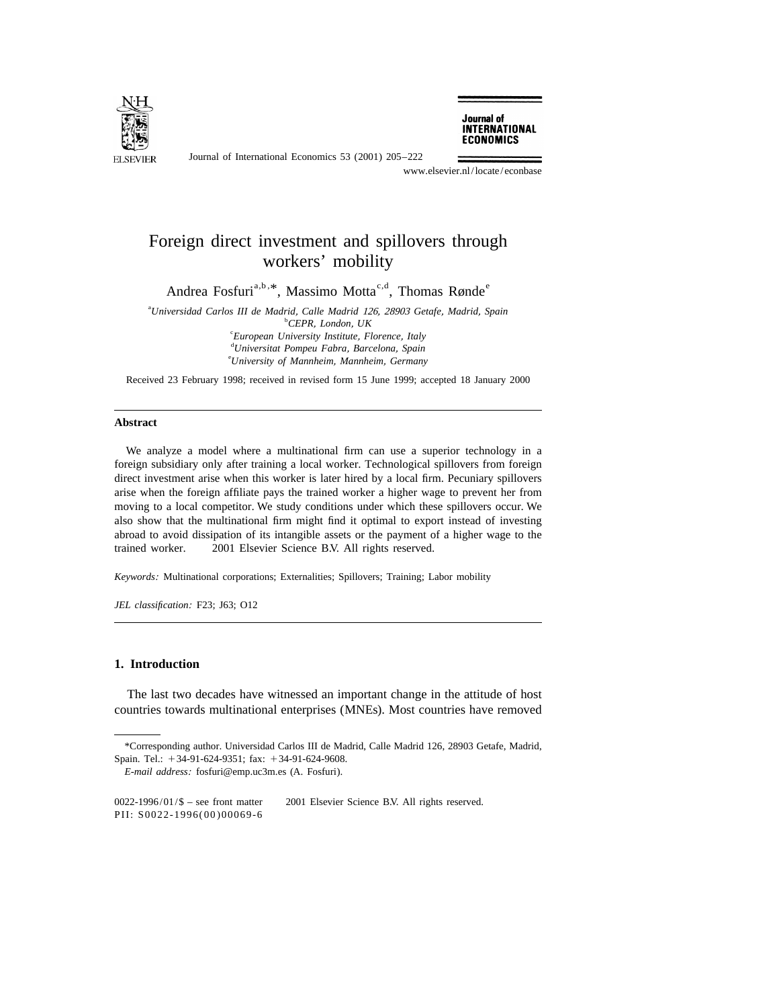

Journal of International Economics 53 (2001) 205–222

Journal of **INTERNATIONAL ECONOMICS** 

www.elsevier.nl/locate/econbase

## Foreign direct investment and spillovers through workers' mobility

Andrea Fosfuri<sup>a,b, \*</sup>, Massimo Motta<sup>c,d</sup>, Thomas Rønde<sup>e</sup>

a *Universidad Carlos III de Madrid*, *Calle Madrid* 126, <sup>28903</sup> *Getafe*, *Madrid*, *Spain* b *CEPR*, *London*, *UK* c *European University Institute*, *Florence*, *Italy* d *Universitat Pompeu Fabra*, *Barcelona*, *Spain* e *University of Mannheim*, *Mannheim*, *Germany*

Received 23 February 1998; received in revised form 15 June 1999; accepted 18 January 2000

## **Abstract**

We analyze a model where a multinational firm can use a superior technology in a foreign subsidiary only after training a local worker. Technological spillovers from foreign direct investment arise when this worker is later hired by a local firm. Pecuniary spillovers arise when the foreign affiliate pays the trained worker a higher wage to prevent her from moving to a local competitor. We study conditions under which these spillovers occur. We also show that the multinational firm might find it optimal to export instead of investing abroad to avoid dissipation of its intangible assets or the payment of a higher wage to the trained worker.  $\oslash$  2001 Elsevier Science B.V. All rights reserved.

*Keywords*: Multinational corporations; Externalities; Spillovers; Training; Labor mobility

*JEL classification*: F23; J63; O12

## **1. Introduction**

The last two decades have witnessed an important change in the attitude of host countries towards multinational enterprises (MNEs). Most countries have removed

<sup>\*</sup>Corresponding author. Universidad Carlos III de Madrid, Calle Madrid 126, 28903 Getafe, Madrid, Spain. Tel.: +34-91-624-9351; fax: +34-91-624-9608.

*E*-*mail address*: fosfuri@emp.uc3m.es (A. Fosfuri).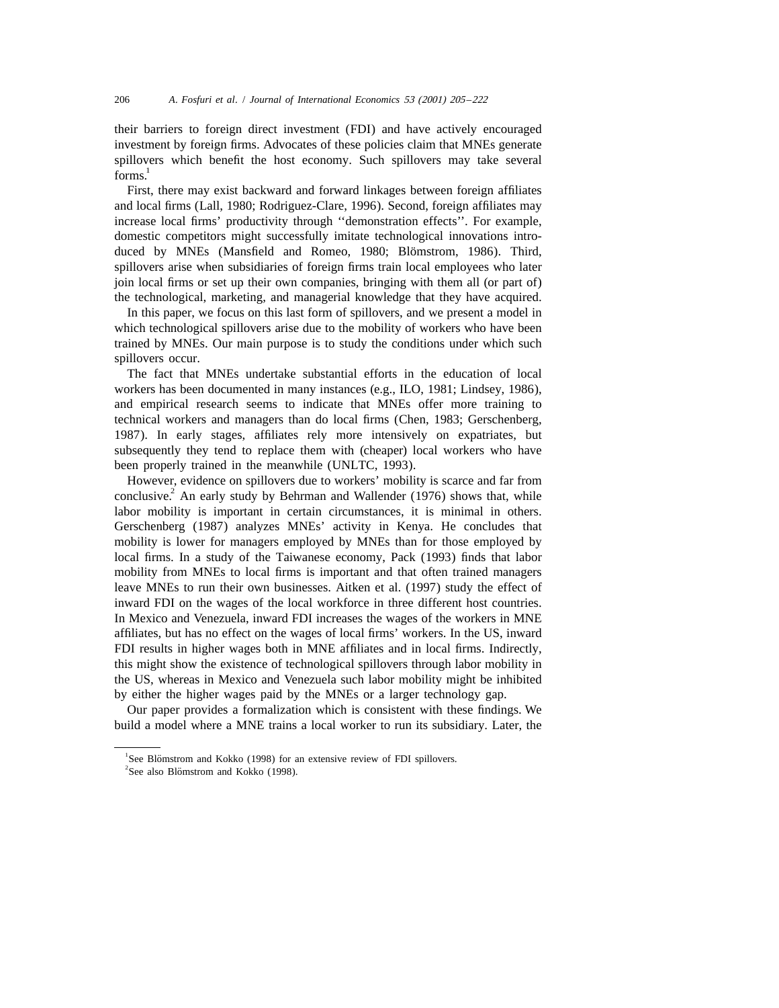their barriers to foreign direct investment (FDI) and have actively encouraged investment by foreign firms. Advocates of these policies claim that MNEs generate spillovers which benefit the host economy. Such spillovers may take several  $forms<sup>1</sup>$ 

First, there may exist backward and forward linkages between foreign affiliates and local firms (Lall, 1980; Rodriguez-Clare, 1996). Second, foreign affiliates may increase local firms' productivity through ''demonstration effects''. For example, domestic competitors might successfully imitate technological innovations introduced by MNEs (Mansfield and Romeo, 1980; Blömstrom, 1986). Third, spillovers arise when subsidiaries of foreign firms train local employees who later join local firms or set up their own companies, bringing with them all (or part of) the technological, marketing, and managerial knowledge that they have acquired.

In this paper, we focus on this last form of spillovers, and we present a model in which technological spillovers arise due to the mobility of workers who have been trained by MNEs. Our main purpose is to study the conditions under which such spillovers occur.

The fact that MNEs undertake substantial efforts in the education of local workers has been documented in many instances (e.g., ILO, 1981; Lindsey, 1986), and empirical research seems to indicate that MNEs offer more training to technical workers and managers than do local firms (Chen, 1983; Gerschenberg, 1987). In early stages, affiliates rely more intensively on expatriates, but subsequently they tend to replace them with (cheaper) local workers who have been properly trained in the meanwhile (UNLTC, 1993).

However, evidence on spillovers due to workers' mobility is scarce and far from conclusive.<sup>2</sup> An early study by Behrman and Wallender (1976) shows that, while labor mobility is important in certain circumstances, it is minimal in others. Gerschenberg (1987) analyzes MNEs' activity in Kenya. He concludes that mobility is lower for managers employed by MNEs than for those employed by local firms. In a study of the Taiwanese economy, Pack (1993) finds that labor mobility from MNEs to local firms is important and that often trained managers leave MNEs to run their own businesses. Aitken et al. (1997) study the effect of inward FDI on the wages of the local workforce in three different host countries. In Mexico and Venezuela, inward FDI increases the wages of the workers in MNE affiliates, but has no effect on the wages of local firms' workers. In the US, inward FDI results in higher wages both in MNE affiliates and in local firms. Indirectly, this might show the existence of technological spillovers through labor mobility in the US, whereas in Mexico and Venezuela such labor mobility might be inhibited by either the higher wages paid by the MNEs or a larger technology gap.

Our paper provides a formalization which is consistent with these findings. We build a model where a MNE trains a local worker to run its subsidiary. Later, the

<sup>&</sup>lt;sup>1</sup>See Blömstrom and Kokko (1998) for an extensive review of FDI spillovers.

 $2$ See also Blömstrom and Kokko (1998).